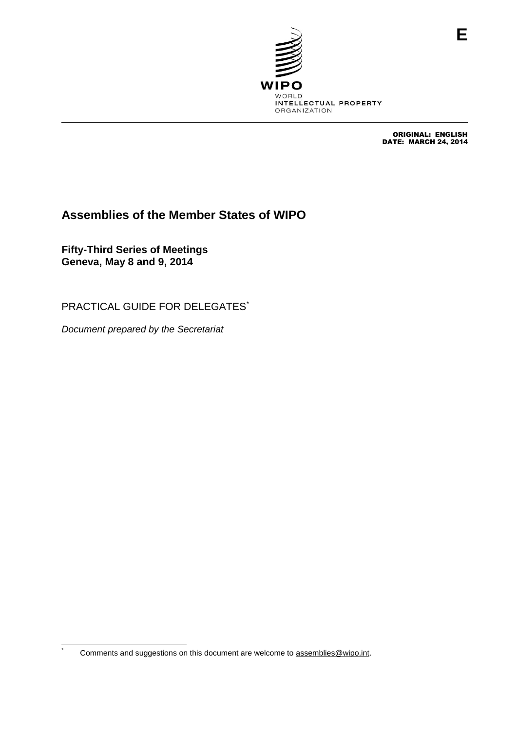

ORIGINAL: ENGLISH DATE: MARCH 24, 2014

# **Assemblies of the Member States of WIPO**

**Fifty-Third Series of Meetings Geneva, May 8 and 9, 2014**

PRACTICAL GUIDE FOR DELEGATES*\**

*Document prepared by the Secretariat*

 $^\star$ 

Comments and suggestions on this document are welcome to [assemblies@wipo.int.](mailto:assemblies@wipo.int)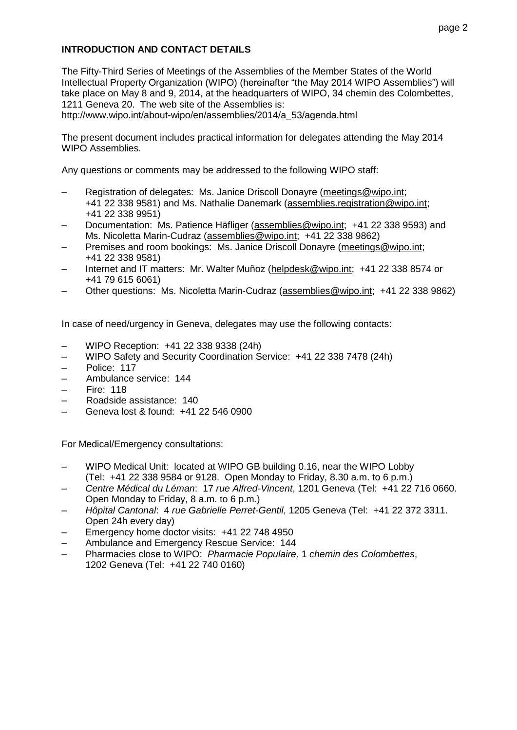## **INTRODUCTION AND CONTACT DETAILS**

The Fifty-Third Series of Meetings of the Assemblies of the Member States of the World Intellectual Property Organization (WIPO) (hereinafter "the May 2014 WIPO Assemblies") will take place on May 8 and 9, 2014, at the headquarters of WIPO, 34 chemin des Colombettes, 1211 Geneva 20. The web site of the Assemblies is:

http://www.wipo.int/about-wipo/en/assemblies/2014/a\_53/agenda.html

The present document includes practical information for delegates attending the May 2014 WIPO Assemblies.

Any questions or comments may be addressed to the following WIPO staff:

- Registration of delegates: Ms. Janice Driscoll Donayre [\(meetings@wipo.int;](mailto:meetings@wipo.int) +41 22 338 9581) and Ms. Nathalie Danemark [\(assemblies.registration@wipo.int;](mailto:assemblies.registration@wipo.int) +41 22 338 9951)
- Documentation: Ms. Patience Häfliger [\(assemblies@wipo.int;](mailto:assemblies@wipo.int) +41 22 338 9593) and Ms. Nicoletta Marin-Cudraz [\(assemblies@wipo.int;](mailto:assemblies@wipo.int) +41 22 338 9862)
- Premises and room bookings: Ms. Janice Driscoll Donayre [\(meetings@wipo.int;](mailto:meetings@wipo.int) +41 22 338 9581)
- Internet and IT matters: Mr. Walter Muñoz [\(helpdesk@wipo.int;](mailto:helpdesk@wipo.int) +41 22 338 8574 or +41 79 615 6061)
- Other questions: Ms. Nicoletta Marin-Cudraz [\(assemblies@wipo.int;](mailto:assemblies@wipo.int) +41 22 338 9862)

In case of need/urgency in Geneva, delegates may use the following contacts:

- WIPO Reception: +41 22 338 9338 (24h)
- WIPO Safety and Security Coordination Service: +41 22 338 7478 (24h)
- Police: 117
- Ambulance service: 144
- Fire: 118
- Roadside assistance: 140
- Geneva lost & found: +41 22 546 0900

For Medical/Emergency consultations:

- WIPO Medical Unit: located at WIPO GB building 0.16, near the WIPO Lobby (Tel: +41 22 338 9584 or 9128. Open Monday to Friday, 8.30 a.m. to 6 p.m.)
- *Centre Médical du Léman*: 17 *rue Alfred-Vincent*, 1201 Geneva (Tel: +41 22 716 0660. Open Monday to Friday, 8 a.m. to 6 p.m.)
- *Hôpital Cantonal*: 4 *rue Gabrielle Perret-Gentil*, 1205 Geneva (Tel: +41 22 372 3311. Open 24h every day)
- Emergency home doctor visits: +41 22 748 4950
- Ambulance and Emergency Rescue Service: 144
- Pharmacies close to WIPO: *Pharmacie Populaire,* 1 *chemin des Colombettes*, 1202 Geneva (Tel: +41 22 740 0160)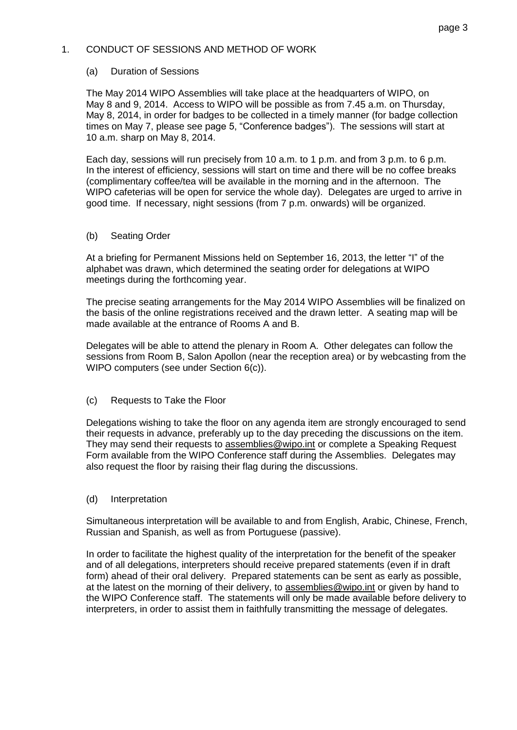### 1. CONDUCT OF SESSIONS AND METHOD OF WORK

### (a) Duration of Sessions

The May 2014 WIPO Assemblies will take place at the headquarters of WIPO, on May 8 and 9, 2014. Access to WIPO will be possible as from 7.45 a.m. on Thursday, May 8, 2014, in order for badges to be collected in a timely manner (for badge collection times on May 7, please see page 5, "Conference badges"). The sessions will start at 10 a.m. sharp on May 8, 2014.

Each day, sessions will run precisely from 10 a.m. to 1 p.m. and from 3 p.m. to 6 p.m. In the interest of efficiency, sessions will start on time and there will be no coffee breaks (complimentary coffee/tea will be available in the morning and in the afternoon. The WIPO cafeterias will be open for service the whole day). Delegates are urged to arrive in good time. If necessary, night sessions (from 7 p.m. onwards) will be organized.

### (b) Seating Order

At a briefing for Permanent Missions held on September 16, 2013, the letter "I" of the alphabet was drawn, which determined the seating order for delegations at WIPO meetings during the forthcoming year.

The precise seating arrangements for the May 2014 WIPO Assemblies will be finalized on the basis of the online registrations received and the drawn letter. A seating map will be made available at the entrance of Rooms A and B.

Delegates will be able to attend the plenary in Room A. Other delegates can follow the sessions from Room B, Salon Apollon (near the reception area) or by webcasting from the WIPO computers (see under Section 6(c)).

## (c) Requests to Take the Floor

Delegations wishing to take the floor on any agenda item are strongly encouraged to send their requests in advance, preferably up to the day preceding the discussions on the item. They may send their requests to [assemblies@wipo.int](mailto:assemblies@wipo.int) or complete a Speaking Request Form available from the WIPO Conference staff during the Assemblies. Delegates may also request the floor by raising their flag during the discussions.

### (d) Interpretation

Simultaneous interpretation will be available to and from English, Arabic, Chinese, French, Russian and Spanish, as well as from Portuguese (passive).

In order to facilitate the highest quality of the interpretation for the benefit of the speaker and of all delegations, interpreters should receive prepared statements (even if in draft form) ahead of their oral delivery. Prepared statements can be sent as early as possible, at the latest on the morning of their delivery, to [assemblies@wipo.int](mailto:assemblies@wipo.int) or given by hand to the WIPO Conference staff. The statements will only be made available before delivery to interpreters, in order to assist them in faithfully transmitting the message of delegates.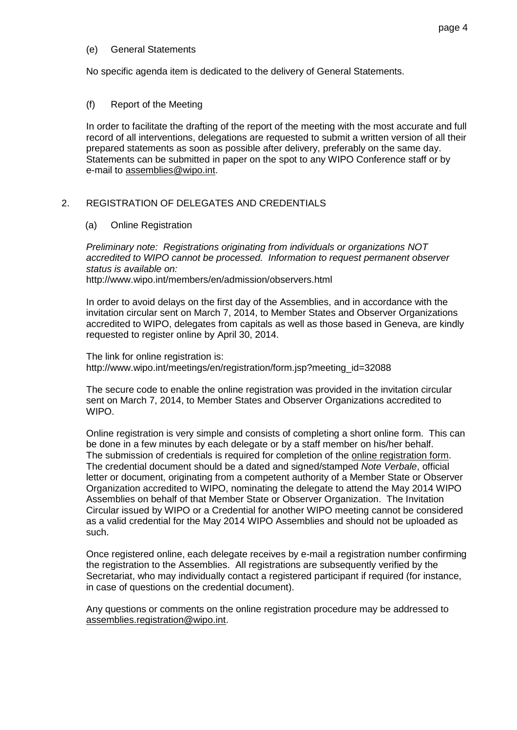### (e) General Statements

No specific agenda item is dedicated to the delivery of General Statements.

### (f) Report of the Meeting

In order to facilitate the drafting of the report of the meeting with the most accurate and full record of all interventions, delegations are requested to submit a written version of all their prepared statements as soon as possible after delivery, preferably on the same day. Statements can be submitted in paper on the spot to any WIPO Conference staff or by e-mail to [assemblies@wipo.int.](mailto:assemblies@wipo.int)

## 2. REGISTRATION OF DELEGATES AND CREDENTIALS

### (a) Online Registration

*Preliminary note: Registrations originating from individuals or organizations NOT accredited to WIPO cannot be processed. Information to request permanent observer status is available on:*  http:/[/www.wipo.int/members/en/admission/observers.html](http://www.wipo.int/members/en/admission/observers.html)

In order to avoid delays on the first day of the Assemblies, and in accordance with the invitation circular sent on March 7, 2014, to Member States and Observer Organizations accredited to WIPO, delegates from capitals as well as those based in Geneva, are kindly requested to register online by April 30, 2014.

The link for online registration is: [http://www.wipo.int/meetings/en/registration/form.jsp?meeting\\_id=32088](http://www.wipo.int/meetings/en/registration/form.jsp?meeting_id=32088)

The secure code to enable the online registration was provided in the invitation circular sent on March 7, 2014, to Member States and Observer Organizations accredited to WIPO.

Online registration is very simple and consists of completing a short online form. This can be done in a few minutes by each delegate or by a staff member on his/her behalf. The submission of credentials is required for completion of the online registration form. The credential document should be a dated and signed/stamped *Note Verbale*, official letter or document, originating from a competent authority of a Member State or Observer Organization accredited to WIPO, nominating the delegate to attend the May 2014 WIPO Assemblies on behalf of that Member State or Observer Organization. The Invitation Circular issued by WIPO or a Credential for another WIPO meeting cannot be considered as a valid credential for the May 2014 WIPO Assemblies and should not be uploaded as such.

Once registered online, each delegate receives by e-mail a registration number confirming the registration to the Assemblies. All registrations are subsequently verified by the Secretariat, who may individually contact a registered participant if required (for instance, in case of questions on the credential document).

Any questions or comments on the online registration procedure may be addressed to assemblies.registration@wipo.int.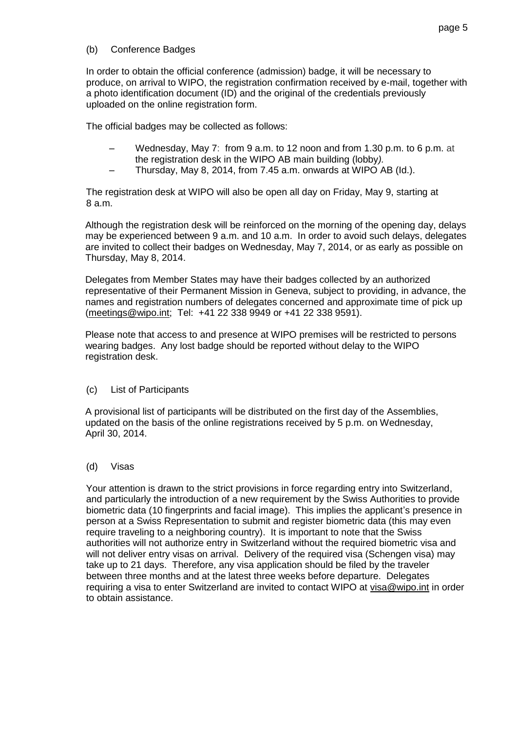## (b) Conference Badges

In order to obtain the official conference (admission) badge, it will be necessary to produce, on arrival to WIPO, the registration confirmation received by e-mail, together with a photo identification document (ID) and the original of the credentials previously uploaded on the online registration form.

The official badges may be collected as follows:

- Wednesday, May 7: from 9 a.m. to 12 noon and from 1.30 p.m. to 6 p.m. at the registration desk in the WIPO AB main building (lobby*).*
- Thursday, May 8, 2014, from 7.45 a.m. onwards at WIPO AB (Id.).

The registration desk at WIPO will also be open all day on Friday, May 9, starting at 8 a.m.

Although the registration desk will be reinforced on the morning of the opening day, delays may be experienced between 9 a.m. and 10 a.m. In order to avoid such delays, delegates are invited to collect their badges on Wednesday, May 7, 2014, or as early as possible on Thursday, May 8, 2014.

Delegates from Member States may have their badges collected by an authorized representative of their Permanent Mission in Geneva, subject to providing, in advance, the names and registration numbers of delegates concerned and approximate time of pick up [\(meetings@wipo.int;](mailto:meetings@wipo.int) Tel: +41 22 338 9949 or +41 22 338 9591).

Please note that access to and presence at WIPO premises will be restricted to persons wearing badges. Any lost badge should be reported without delay to the WIPO registration desk.

(c) List of Participants

A provisional list of participants will be distributed on the first day of the Assemblies, updated on the basis of the online registrations received by 5 p.m. on Wednesday, April 30, 2014.

(d) Visas

Your attention is drawn to the strict provisions in force regarding entry into Switzerland, and particularly the introduction of a new requirement by the Swiss Authorities to provide biometric data (10 fingerprints and facial image). This implies the applicant's presence in person at a Swiss Representation to submit and register biometric data (this may even require traveling to a neighboring country). It is important to note that the Swiss authorities will not authorize entry in Switzerland without the required biometric visa and will not deliver entry visas on arrival. Delivery of the required visa (Schengen visa) may take up to 21 days. Therefore, any visa application should be filed by the traveler between three months and at the latest three weeks before departure. Delegates requiring a visa to enter Switzerland are invited to contact WIPO at [visa@wipo.int](mailto:visa@wipo.int) in order to obtain assistance.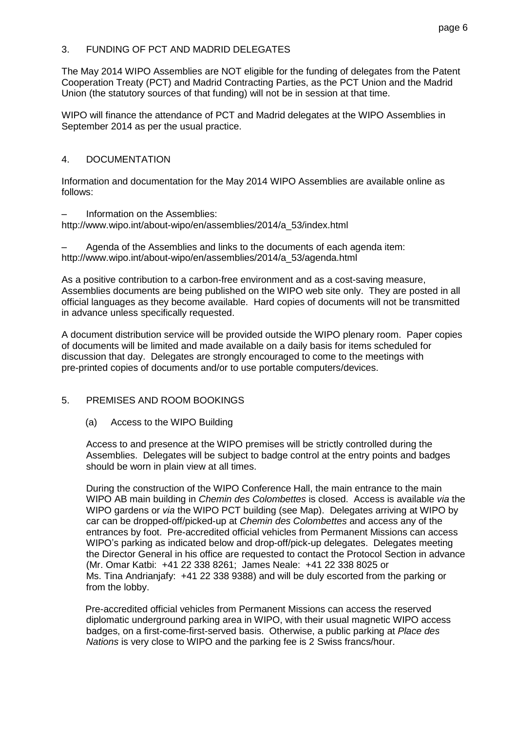## 3. FUNDING OF PCT AND MADRID DELEGATES

The May 2014 WIPO Assemblies are NOT eligible for the funding of delegates from the Patent Cooperation Treaty (PCT) and Madrid Contracting Parties, as the PCT Union and the Madrid Union (the statutory sources of that funding) will not be in session at that time.

WIPO will finance the attendance of PCT and Madrid delegates at the WIPO Assemblies in September 2014 as per the usual practice.

## 4. DOCUMENTATION

Information and documentation for the May 2014 WIPO Assemblies are available online as follows:

### Information on the Assemblies:

[http://www.wipo.int/about-wipo/en/assemblies/2014/a\\_53/index.html](http://www.wipo.int/about-wipo/en/assemblies/2014/a_53/index.html)

Agenda of the Assemblies and links to the documents of each agenda item: http://www.wipo.int/about-wipo/en/assemblies/2014/a\_53/agenda.html

As a positive contribution to a carbon-free environment and as a cost-saving measure, Assemblies documents are being published on the WIPO web site only. They are posted in all official languages as they become available. Hard copies of documents will not be transmitted in advance unless specifically requested.

A document distribution service will be provided outside the WIPO plenary room. Paper copies of documents will be limited and made available on a daily basis for items scheduled for discussion that day. Delegates are strongly encouraged to come to the meetings with pre-printed copies of documents and/or to use portable computers/devices.

## 5. PREMISES AND ROOM BOOKINGS

## (a) Access to the WIPO Building

Access to and presence at the WIPO premises will be strictly controlled during the Assemblies. Delegates will be subject to badge control at the entry points and badges should be worn in plain view at all times.

During the construction of the WIPO Conference Hall, the main entrance to the main WIPO AB main building in *Chemin des Colombettes* is closed. Access is available *via* the WIPO gardens or *via* the WIPO PCT building (see Map). Delegates arriving at WIPO by car can be dropped-off/picked-up at *Chemin des Colombettes* and access any of the entrances by foot. Pre-accredited official vehicles from Permanent Missions can access WIPO's parking as indicated below and drop-off/pick-up delegates. Delegates meeting the Director General in his office are requested to contact the Protocol Section in advance (Mr. Omar Katbi: +41 22 338 8261; James Neale: +41 22 338 8025 or Ms. Tina Andrianjafy: +41 22 338 9388) and will be duly escorted from the parking or from the lobby.

Pre-accredited official vehicles from Permanent Missions can access the reserved diplomatic underground parking area in WIPO, with their usual magnetic WIPO access badges, on a first-come-first-served basis. Otherwise, a public parking at *Place des Nations* is very close to WIPO and the parking fee is 2 Swiss francs/hour.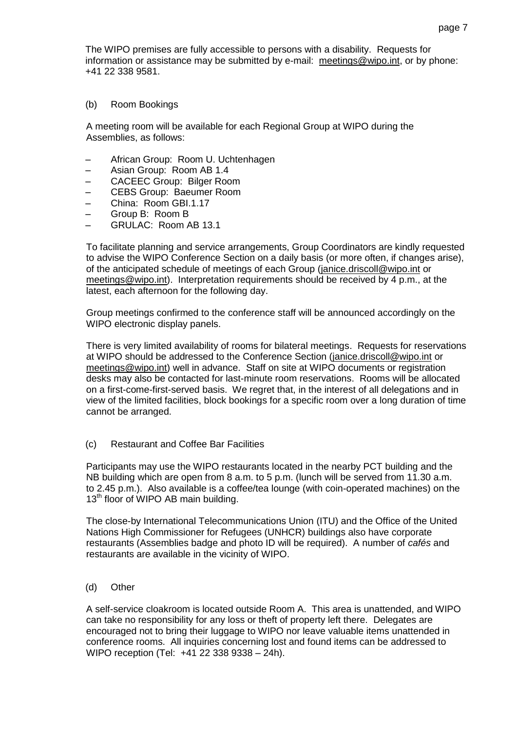The WIPO premises are fully accessible to persons with a disability. Requests for information or assistance may be submitted by e-mail: [meetings@wipo.int,](mailto:meetings@wipo.int) or by phone: +41 22 338 9581.

(b) Room Bookings

A meeting room will be available for each Regional Group at WIPO during the Assemblies, as follows:

- African Group: Room U. Uchtenhagen
- Asian Group: Room AB 1.4
- CACEEC Group: Bilger Room
- CEBS Group: Baeumer Room
- China: Room GBI.1.17
- Group B: Room B
- GRULAC: Room AB 13.1

To facilitate planning and service arrangements, Group Coordinators are kindly requested to advise the WIPO Conference Section on a daily basis (or more often, if changes arise), of the anticipated schedule of meetings of each Group [\(janice.driscoll@wipo.int](mailto:janice.driscoll@wipo.int) or [meetings@wipo.int\)](mailto:meetings@wipo.int). Interpretation requirements should be received by 4 p.m., at the latest, each afternoon for the following day.

Group meetings confirmed to the conference staff will be announced accordingly on the WIPO electronic display panels.

There is very limited availability of rooms for bilateral meetings. Requests for reservations at WIPO should be addressed to the Conference Section [\(janice.driscoll@wipo.int](mailto:janice.driscoll@wipo.int) or [meetings@wipo.int\)](mailto:meetings@wipo.int) well in advance. Staff on site at WIPO documents or registration desks may also be contacted for last-minute room reservations. Rooms will be allocated on a first-come-first-served basis. We regret that, in the interest of all delegations and in view of the limited facilities, block bookings for a specific room over a long duration of time cannot be arranged.

(c) Restaurant and Coffee Bar Facilities

Participants may use the WIPO restaurants located in the nearby PCT building and the NB building which are open from 8 a.m. to 5 p.m. (lunch will be served from 11.30 a.m. to 2.45 p.m.). Also available is a coffee/tea lounge (with coin-operated machines) on the 13<sup>th</sup> floor of WIPO AB main building.

The close-by International Telecommunications Union (ITU) and the Office of the United Nations High Commissioner for Refugees (UNHCR) buildings also have corporate restaurants (Assemblies badge and photo ID will be required). A number of *cafés* and restaurants are available in the vicinity of WIPO.

(d) Other

A self-service cloakroom is located outside Room A. This area is unattended, and WIPO can take no responsibility for any loss or theft of property left there. Delegates are encouraged not to bring their luggage to WIPO nor leave valuable items unattended in conference rooms. All inquiries concerning lost and found items can be addressed to WIPO reception (Tel: +41 22 338 9338 – 24h).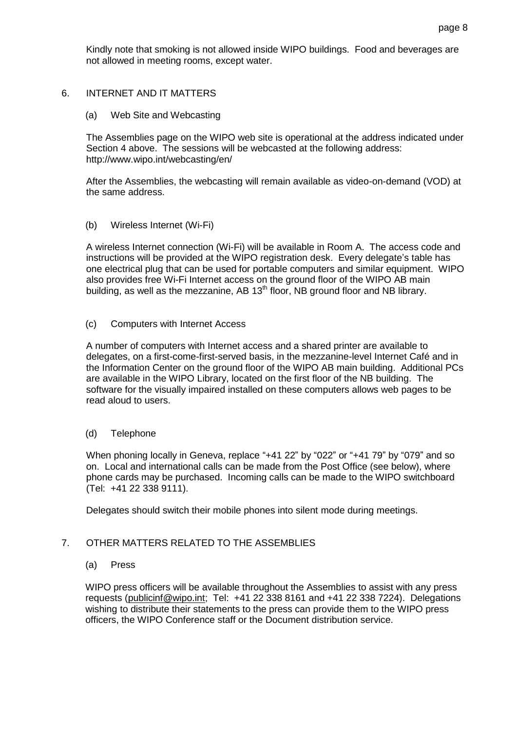Kindly note that smoking is not allowed inside WIPO buildings. Food and beverages are not allowed in meeting rooms, except water.

## 6. INTERNET AND IT MATTERS

(a) Web Site and Webcasting

The Assemblies page on the WIPO web site is operational at the address indicated under Section 4 above. The sessions will be webcasted at the following address: <http://www.wipo.int/webcasting/en/>

After the Assemblies, the webcasting will remain available as video-on-demand (VOD) at the same address.

### (b) Wireless Internet (Wi-Fi)

A wireless Internet connection (Wi-Fi) will be available in Room A. The access code and instructions will be provided at the WIPO registration desk. Every delegate's table has one electrical plug that can be used for portable computers and similar equipment. WIPO also provides free Wi-Fi Internet access on the ground floor of the WIPO AB main building, as well as the mezzanine, AB  $13<sup>th</sup>$  floor, NB ground floor and NB library.

(c) Computers with Internet Access

A number of computers with Internet access and a shared printer are available to delegates, on a first-come-first-served basis, in the mezzanine-level Internet Café and in the Information Center on the ground floor of the WIPO AB main building. Additional PCs are available in the WIPO Library, located on the first floor of the NB building. The software for the visually impaired installed on these computers allows web pages to be read aloud to users.

(d) Telephone

When phoning locally in Geneva, replace "+41 22" by "022" or "+41 79" by "079" and so on. Local and international calls can be made from the Post Office (see below), where phone cards may be purchased. Incoming calls can be made to the WIPO switchboard (Tel: +41 22 338 9111).

Delegates should switch their mobile phones into silent mode during meetings.

## 7. OTHER MATTERS RELATED TO THE ASSEMBLIES

(a) Press

WIPO press officers will be available throughout the Assemblies to assist with any press requests [\(publicinf@wipo.int;](mailto:publicinf@wipo.int) Tel: +41 22 338 8161 and +41 22 338 7224). Delegations wishing to distribute their statements to the press can provide them to the WIPO press officers, the WIPO Conference staff or the Document distribution service.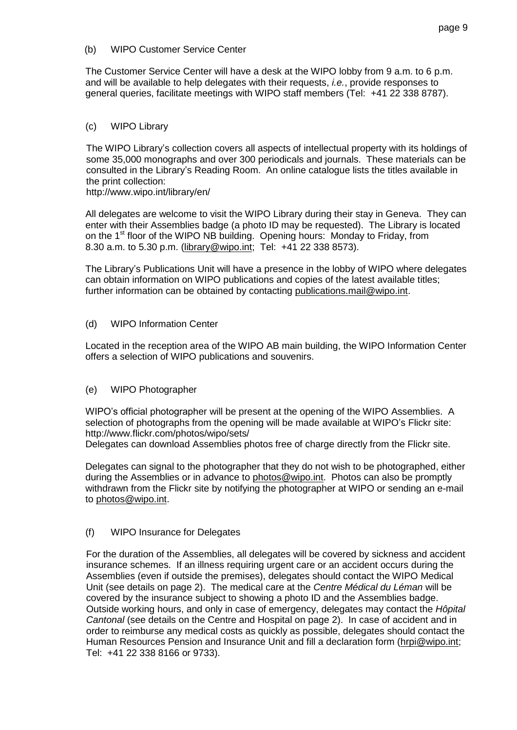### (b) WIPO Customer Service Center

The Customer Service Center will have a desk at the WIPO lobby from 9 a.m. to 6 p.m. and will be available to help delegates with their requests, *i.e.*, provide responses to general queries, facilitate meetings with WIPO staff members (Tel: +41 22 338 8787).

## (c) WIPO Library

The WIPO Library's collection covers all aspects of intellectual property with its holdings of some 35,000 monographs and over 300 periodicals and journals. These materials can be consulted in the Library's Reading Room. An online catalogue lists the titles available in the print collection:

http:/[/www.wipo.int/library/en/](http://www.wipo.int/library/en/)

All delegates are welcome to visit the WIPO Library during their stay in Geneva. They can enter with their Assemblies badge (a photo ID may be requested). The Library is located on the 1<sup>st</sup> floor of the WIPO NB building. Opening hours: Monday to Friday, from 8.30 a.m. to 5.30 p.m. [\(library@wipo.int;](mailto:library@wipo.int) Tel: +41 22 338 8573).

The Library's Publications Unit will have a presence in the lobby of WIPO where delegates can obtain information on WIPO publications and copies of the latest available titles; further information can be obtained by contacting [publications.mail@wipo.int.](mailto:publications.mail@wipo.int)

### (d) WIPO Information Center

Located in the reception area of the WIPO AB main building, the WIPO Information Center offers a selection of WIPO publications and souvenirs.

## (e) WIPO Photographer

WIPO's official photographer will be present at the opening of the WIPO Assemblies. A selection of photographs from the opening will be made available at WIPO's Flickr site: <http://www.flickr.com/photos/wipo/sets/>

Delegates can download Assemblies photos free of charge directly from the Flickr site.

Delegates can signal to the photographer that they do not wish to be photographed, either during the Assemblies or in advance to [photos@wipo.int.](mailto:photos@wipo.int) Photos can also be promptly withdrawn from the Flickr site by notifying the photographer at WIPO or sending an e-mail to [photos@wipo.int.](mailto:photos@wipo.int)

## (f) WIPO Insurance for Delegates

For the duration of the Assemblies, all delegates will be covered by sickness and accident insurance schemes. If an illness requiring urgent care or an accident occurs during the Assemblies (even if outside the premises), delegates should contact the WIPO Medical Unit (see details on page 2). The medical care at the *Centre Médical du Léman* will be covered by the insurance subject to showing a photo ID and the Assemblies badge. Outside working hours, and only in case of emergency, delegates may contact the *Hôpital Cantonal* (see details on the Centre and Hospital on page 2). In case of accident and in order to reimburse any medical costs as quickly as possible, delegates should contact the Human Resources Pension and Insurance Unit and fill a declaration form [\(hrpi@wipo.int;](mailto:hrpi@wipo.int) Tel: +41 22 338 8166 or 9733).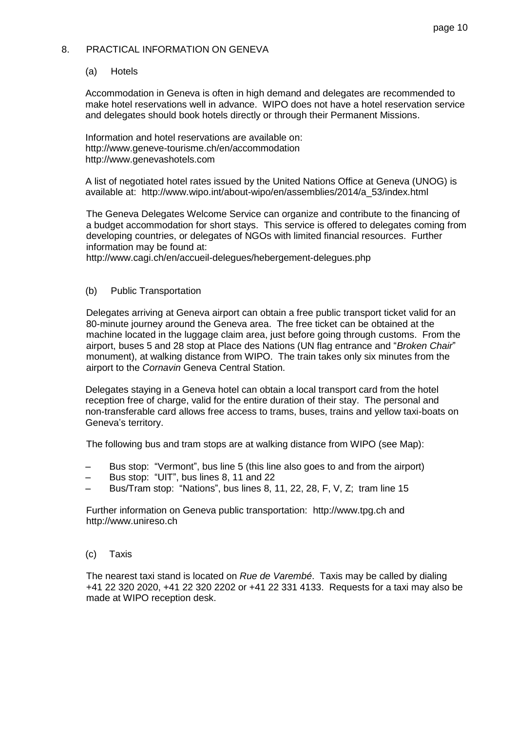### 8. PRACTICAL INFORMATION ON GENEVA

### (a) Hotels

Accommodation in Geneva is often in high demand and delegates are recommended to make hotel reservations well in advance. WIPO does not have a hotel reservation service and delegates should book hotels directly or through their Permanent Missions.

Information and hotel reservations are available on: http:/[/www.geneve-tourisme.ch/en/accommodation](http://www.geneve-tourisme.ch/en/accommodation) http:/[/www.genevashotels.com](http://www.genevashotels.com/)

A list of negotiated hotel rates issued by the United Nations Office at Geneva (UNOG) is available at: http://www.wipo.int/about-wipo/en/assemblies/2014/a\_53/index.html

The Geneva Delegates Welcome Service can organize and contribute to the financing of a budget accommodation for short stays. This service is offered to delegates coming from developing countries, or delegates of NGOs with limited financial resources. Further information may be found at:

http:/[/www.cagi.ch/en/accueil-delegues/hebergement-delegues.php](http://www.cagi.ch/en/accueil-delegues/hebergement-delegues.php)

### (b) Public Transportation

Delegates arriving at Geneva airport can obtain a free public transport ticket valid for an 80-minute journey around the Geneva area. The free ticket can be obtained at the machine located in the luggage claim area, just before going through customs. From the airport, buses 5 and 28 stop at Place des Nations (UN flag entrance and "*Broken Chair*" monument), at walking distance from WIPO. The train takes only six minutes from the airport to the *Cornavin* Geneva Central Station.

Delegates staying in a Geneva hotel can obtain a local transport card from the hotel reception free of charge, valid for the entire duration of their stay. The personal and non-transferable card allows free access to trams, buses, trains and yellow taxi-boats on Geneva's territory.

The following bus and tram stops are at walking distance from WIPO (see Map):

- Bus stop: "Vermont", bus line 5 (this line also goes to and from the airport)
- Bus stop: "UIT", bus lines 8, 11 and 22
- Bus/Tram stop: "Nations", bus lines 8, 11, 22, 28, F, V, Z; tram line 15

Further information on Geneva public transportation: http:/[/www.tpg.ch](http://www.tpg.ch/) and http:/[/www.unireso.ch](http://www.unireso.ch/)

(c) Taxis

The nearest taxi stand is located on *Rue de Varembé*. Taxis may be called by dialing +41 22 320 2020, +41 22 320 2202 or +41 22 331 4133. Requests for a taxi may also be made at WIPO reception desk.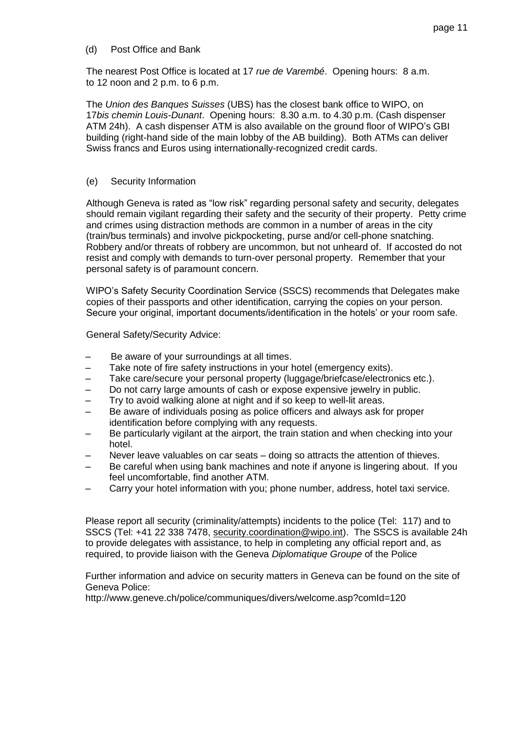(d) Post Office and Bank

The nearest Post Office is located at 17 *rue de Varembé*. Opening hours: 8 a.m. to 12 noon and 2 p.m. to 6 p.m.

The *Union des Banques Suisses* (UBS) has the closest bank office to WIPO, on 17*bis chemin Louis-Dunant*. Opening hours: 8.30 a.m. to 4.30 p.m. (Cash dispenser ATM 24h). A cash dispenser ATM is also available on the ground floor of WIPO's GBI building (right-hand side of the main lobby of the AB building). Both ATMs can deliver Swiss francs and Euros using internationally-recognized credit cards.

## (e) Security Information

Although Geneva is rated as "low risk" regarding personal safety and security, delegates should remain vigilant regarding their safety and the security of their property. Petty crime and crimes using distraction methods are common in a number of areas in the city (train/bus terminals) and involve pickpocketing, purse and/or cell-phone snatching. Robbery and/or threats of robbery are uncommon, but not unheard of. If accosted do not resist and comply with demands to turn-over personal property. Remember that your personal safety is of paramount concern.

WIPO's Safety Security Coordination Service (SSCS) recommends that Delegates make copies of their passports and other identification, carrying the copies on your person. Secure your original, important documents/identification in the hotels' or your room safe.

General Safety/Security Advice:

- Be aware of your surroundings at all times.
- Take note of fire safety instructions in your hotel (emergency exits).
- Take care/secure your personal property (luggage/briefcase/electronics etc.).
- Do not carry large amounts of cash or expose expensive jewelry in public.
- Try to avoid walking alone at night and if so keep to well-lit areas.
- Be aware of individuals posing as police officers and always ask for proper identification before complying with any requests.
- Be particularly vigilant at the airport, the train station and when checking into your hotel.
- Never leave valuables on car seats doing so attracts the attention of thieves.
- Be careful when using bank machines and note if anyone is lingering about. If you feel uncomfortable, find another ATM.
- Carry your hotel information with you; phone number, address, hotel taxi service.

Please report all security (criminality/attempts) incidents to the police (Tel: 117) and to SSCS (Tel: +41 22 338 7478, [security.coordination@wipo.int\)](mailto:security.coordination@wipo.int). The SSCS is available 24h to provide delegates with assistance, to help in completing any official report and, as required, to provide liaison with the Geneva *Diplomatique Groupe* of the Police

Further information and advice on security matters in Geneva can be found on the site of Geneva Police:

http://www.geneve.ch/police[/communiques/](http://www.geneve.ch/police/communiques/divers/welcome.asp?comId=120)divers/welcome.asp?comId=120